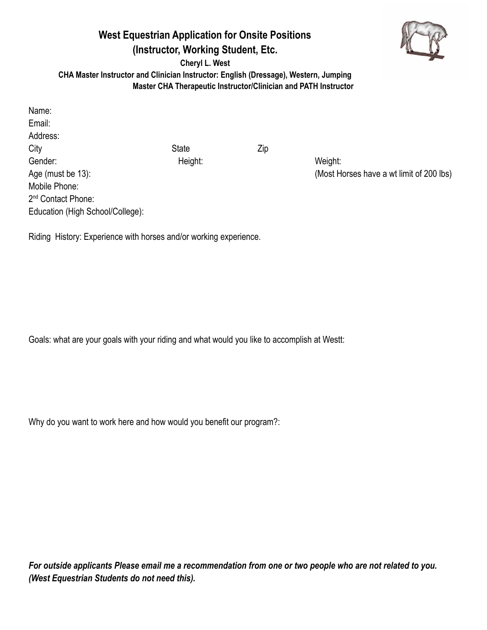# **West Equestrian Application for Onsite Positions (Instructor, Working Student, Etc.**



**Cheryl L. West**

**CHA Master Instructor and Clinician Instructor: English (Dressage), Western, Jumping Master CHA Therapeutic Instructor/Clinician and PATH Instructor**

Name: Email: Address: City **State** Zip Gender: Height: Weight: Mobile Phone: 2<sup>nd</sup> Contact Phone: Education (High School/College):

Age (must be 13): Age (must be 13): Age (must be 13):

Riding History: Experience with horses and/or working experience.

Goals: what are your goals with your riding and what would you like to accomplish at Westt:

Why do you want to work here and how would you benefit our program?:

*For outside applicants Please email me a recommendation from one or two people who are not related to you. (West Equestrian Students do not need this).*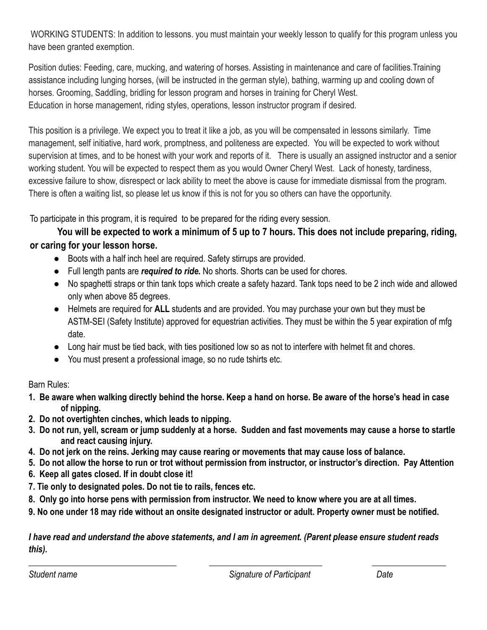WORKING STUDENTS: In addition to lessons. you must maintain your weekly lesson to qualify for this program unless you have been granted exemption.

Position duties: Feeding, care, mucking, and watering of horses. Assisting in maintenance and care of facilities.Training assistance including lunging horses, (will be instructed in the german style), bathing, warming up and cooling down of horses. Grooming, Saddling, bridling for lesson program and horses in training for Cheryl West. Education in horse management, riding styles, operations, lesson instructor program if desired.

This position is a privilege. We expect you to treat it like a job, as you will be compensated in lessons similarly. Time management, self initiative, hard work, promptness, and politeness are expected. You will be expected to work without supervision at times, and to be honest with your work and reports of it. There is usually an assigned instructor and a senior working student. You will be expected to respect them as you would Owner Cheryl West. Lack of honesty, tardiness, excessive failure to show, disrespect or lack ability to meet the above is cause for immediate dismissal from the program. There is often a waiting list, so please let us know if this is not for you so others can have the opportunity.

To participate in this program, it is required to be prepared for the riding every session.

## You will be expected to work a minimum of 5 up to 7 hours. This does not include preparing, riding, **or caring for your lesson horse.**

- Boots with a half inch heel are required. Safety stirrups are provided.
- Full length pants are *required to ride.* No shorts. Shorts can be used for chores.
- No spaghetti straps or thin tank tops which create a safety hazard. Tank tops need to be 2 inch wide and allowed only when above 85 degrees.
- Helmets are required for **ALL** students and are provided. You may purchase your own but they must be ASTM-SEI (Safety Institute) approved for equestrian activities. They must be within the 5 year expiration of mfg date.
- Long hair must be tied back, with ties positioned low so as not to interfere with helmet fit and chores.
- You must present a professional image, so no rude tshirts etc.

Barn Rules:

- **1. Be aware when walking directly behind the horse. Keep a hand on horse. Be aware of the horse's head in case of nipping.**
- **2. Do not overtighten cinches, which leads to nipping.**
- **3. Do not run, yell, scream or jump suddenly at a horse. Sudden and fast movements may cause a horse to startle and react causing injury.**
- **4. Do not jerk on the reins. Jerking may cause rearing or movements that may cause loss of balance.**
- **5. Do not allow the horse to run or trot without permission from instructor, or instructor's direction. Pay Attention**
- **6. Keep all gates closed. If in doubt close it!**
- **7. Tie only to designated poles. Do not tie to rails, fences etc.**
- **8. Only go into horse pens with permission from instructor. We need to know where you are at all times.**
- **9. No one under 18 may ride without an onsite designated instructor or adult. Property owner must be notified.**

### *I have read and understand the above statements, and I am in agreement. (Parent please ensure student reads this).*

*\_\_\_\_\_\_\_\_\_\_\_\_\_\_\_\_\_\_\_\_\_\_\_\_\_\_\_\_\_\_\_\_\_\_ \_\_\_\_\_\_\_\_\_\_\_\_\_\_\_\_\_\_\_\_\_\_\_\_\_\_ \_\_\_\_\_\_\_\_\_\_\_\_\_\_\_\_\_*